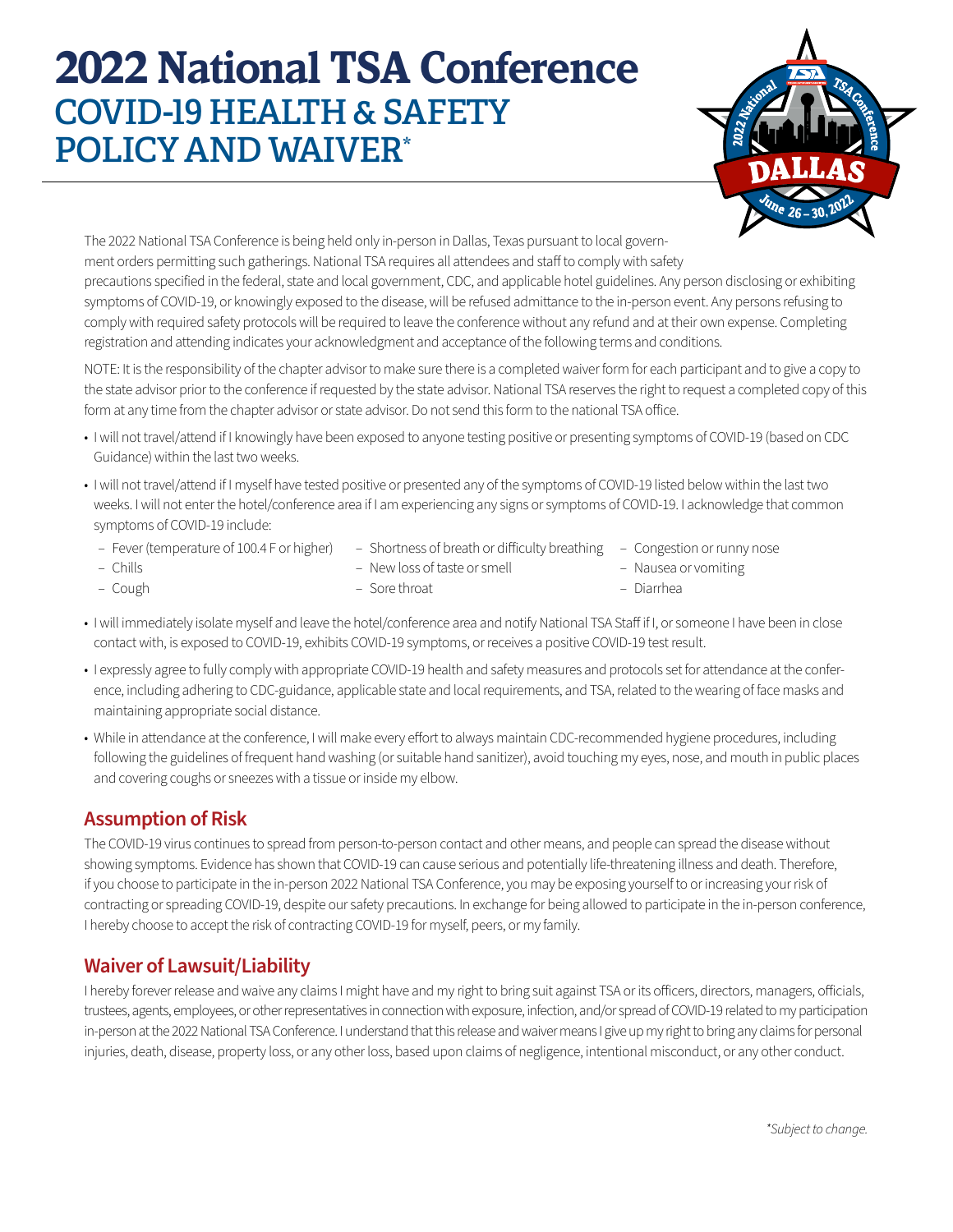## **2022 National TSA Conference** COVID-19 HEALTH & SAFETY POLICY AND WAIVER\*



The 2022 National TSA Conference is being held only in-person in Dallas, Texas pursuant to local government orders permitting such gatherings. National TSA requires all attendees and staff to comply with safety precautions specified in the federal, state and local government, CDC, and applicable hotel guidelines. Any person disclosing or exhibiting symptoms of COVID-19, or knowingly exposed to the disease, will be refused admittance to the in-person event. Any persons refusing to comply with required safety protocols will be required to leave the conference without any refund and at their own expense. Completing registration and attending indicates your acknowledgment and acceptance of the following terms and conditions.

NOTE: It is the responsibility of the chapter advisor to make sure there is a completed waiver form for each participant and to give a copy to the state advisor prior to the conference if requested by the state advisor. National TSA reserves the right to request a completed copy of this form at any time from the chapter advisor or state advisor. Do not send this form to the national TSA office.

- I will not travel/attend if I knowingly have been exposed to anyone testing positive or presenting symptoms of COVID-19 (based on CDC Guidance) within the last two weeks.
- I will not travel/attend if I myself have tested positive or presented any of the symptoms of COVID-19 listed below within the last two weeks. I will not enter the hotel/conference area if I am experiencing any signs or symptoms of COVID-19. I acknowledge that common symptoms of COVID-19 include:
	- Fever (temperature of 100.4 F or higher) – Shortness of breath or difficulty breathing – Congestion or runny nose
	- Chills – Cough – New loss of taste or smell – Sore throat – Nausea or vomiting – Diarrhea
- I will immediately isolate myself and leave the hotel/conference area and notify National TSA Staff if I, or someone I have been in close contact with, is exposed to COVID-19, exhibits COVID-19 symptoms, or receives a positive COVID-19 test result.
- I expressly agree to fully comply with appropriate COVID-19 health and safety measures and protocols set for attendance at the conference, including adhering to CDC-guidance, applicable state and local requirements, and TSA, related to the wearing of face masks and maintaining appropriate social distance.
- While in attendance at the conference, I will make every effort to always maintain CDC-recommended hygiene procedures, including following the guidelines of frequent hand washing (or suitable hand sanitizer), avoid touching my eyes, nose, and mouth in public places and covering coughs or sneezes with a tissue or inside my elbow.

## **Assumption of Risk**

The COVID-19 virus continues to spread from person-to-person contact and other means, and people can spread the disease without showing symptoms. Evidence has shown that COVID-19 can cause serious and potentially life-threatening illness and death. Therefore, if you choose to participate in the in-person 2022 National TSA Conference, you may be exposing yourself to or increasing your risk of contracting or spreading COVID-19, despite our safety precautions. In exchange for being allowed to participate in the in-person conference, I hereby choose to accept the risk of contracting COVID-19 for myself, peers, or my family.

## **Waiver of Lawsuit/Liability**

I hereby forever release and waive any claims I might have and my right to bring suit against TSA or its officers, directors, managers, officials, trustees, agents, employees, or other representatives in connection with exposure, infection, and/or spread of COVID-19 related to my participation in-person at the 2022 National TSA Conference. I understand that this release and waiver means I give up my right to bring any claims for personal injuries, death, disease, property loss, or any other loss, based upon claims of negligence, intentional misconduct, or any other conduct.